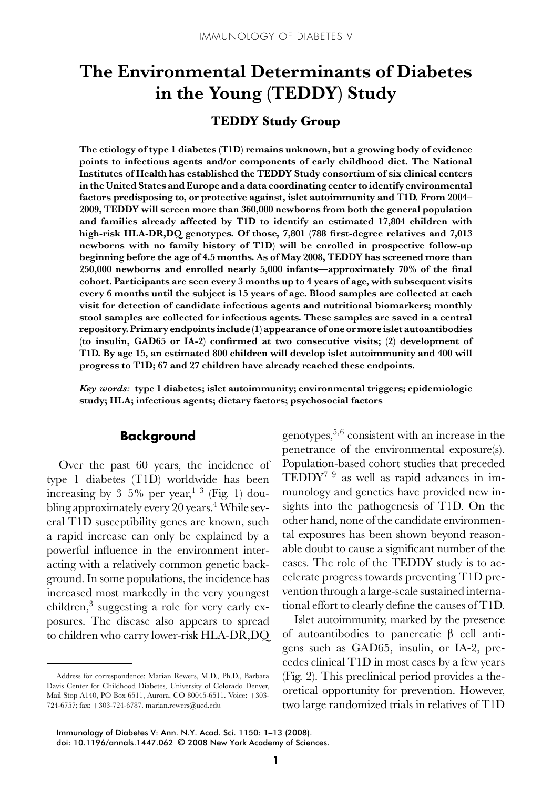# **The Environmental Determinants of Diabetes in the Young (TEDDY) Study**

## **TEDDY Study Group**

**The etiology of type 1 diabetes (T1D) remains unknown, but a growing body of evidence points to infectious agents and/or components of early childhood diet. The National Institutes of Health has established the TEDDY Study consortium of six clinical centers in the United States and Europe and a data coordinating center to identify environmental factors predisposing to, or protective against, islet autoimmunity and T1D. From 2004– 2009, TEDDY will screen more than 360,000 newborns from both the general population and families already affected by T1D to identify an estimated 17,804 children with high-risk HLA-DR,DQ genotypes. Of those, 7,801 (788 first-degree relatives and 7,013 newborns with no family history of T1D) will be enrolled in prospective follow-up beginning before the age of 4.5 months. As of May 2008, TEDDY has screened more than 250,000 newborns and enrolled nearly 5,000 infants—approximately 70% of the final cohort. Participants are seen every 3 months up to 4 years of age, with subsequent visits every 6 months until the subject is 15 years of age. Blood samples are collected at each visit for detection of candidate infectious agents and nutritional biomarkers; monthly stool samples are collected for infectious agents. These samples are saved in a central repository. Primary endpoints include (1) appearance of one or more islet autoantibodies (to insulin, GAD65 or IA-2) confirmed at two consecutive visits; (2) development of T1D. By age 15, an estimated 800 children will develop islet autoimmunity and 400 will progress to T1D; 67 and 27 children have already reached these endpoints.**

*Key words:* **type 1 diabetes; islet autoimmunity; environmental triggers; epidemiologic study; HLA; infectious agents; dietary factors; psychosocial factors**

#### **Background**

Over the past 60 years, the incidence of type 1 diabetes (T1D) worldwide has been increasing by  $3-5\%$  per year,  $1-3$  (Fig. 1) doubling approximately every 20 years.<sup>4</sup> While several T1D susceptibility genes are known, such a rapid increase can only be explained by a powerful influence in the environment interacting with a relatively common genetic background. In some populations, the incidence has increased most markedly in the very youngest children, $3$  suggesting a role for very early exposures. The disease also appears to spread to children who carry lower-risk HLA-DR,DQ genotypes,5*,*<sup>6</sup> consistent with an increase in the penetrance of the environmental exposure(s). Population-based cohort studies that preceded  $TEDDY<sup>7-9</sup>$  as well as rapid advances in immunology and genetics have provided new insights into the pathogenesis of T1D. On the other hand, none of the candidate environmental exposures has been shown beyond reasonable doubt to cause a significant number of the cases. The role of the TEDDY study is to accelerate progress towards preventing T1D prevention through a large-scale sustained international effort to clearly define the causes of T1D.

Islet autoimmunity, marked by the presence of autoantibodies to pancreatic β cell antigens such as GAD65, insulin, or IA-2, precedes clinical T1D in most cases by a few years (Fig. 2). This preclinical period provides a theoretical opportunity for prevention. However, two large randomized trials in relatives of T1D

doi: 10.1196/annals.1447.062 © 2008 New York Academy of Sciences.

Address for correspondence: Marian Rewers, M.D., Ph.D., Barbara Davis Center for Childhood Diabetes, University of Colorado Denver, Mail Stop A140, PO Box 6511, Aurora, CO 80045-6511. Voice: +303- 724-6757; fax: +303-724-6787. marian.rewers@ucd.edu

Immunology of Diabetes V: Ann. N.Y. Acad. Sci. 1150: 1–13 (2008).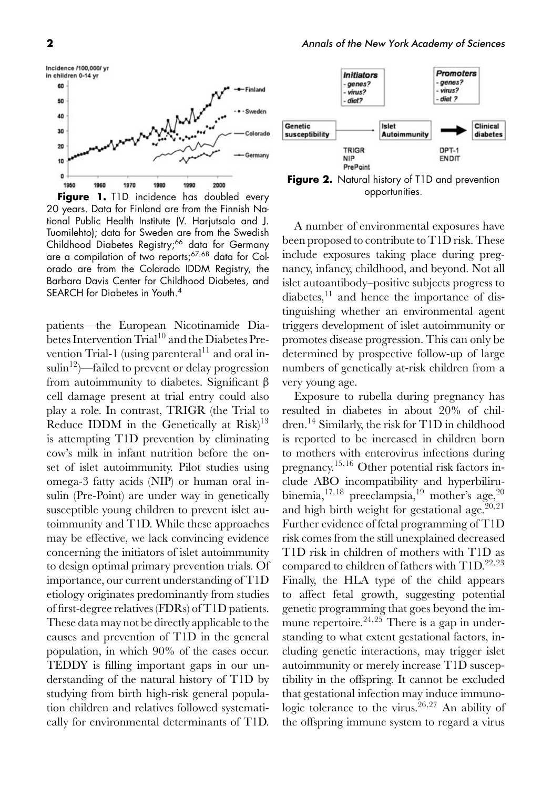

**Figure 1.** T1D incidence has doubled every 20 years. Data for Finland are from the Finnish National Public Health Institute (V. Harjutsalo and J. Tuomilehto); data for Sweden are from the Swedish Childhood Diabetes Registry;<sup>66</sup> data for Germany are a compilation of two reports;<sup>67</sup>,<sup>68</sup> data for Colorado are from the Colorado IDDM Registry, the Barbara Davis Center for Childhood Diabetes, and SEARCH for Diabetes in Youth.<sup>4</sup>

patients—the European Nicotinamide Diabetes Intervention Trial<sup>10</sup> and the Diabetes Prevention Trial-1 (using parenteral<sup>11</sup> and oral insulin<sup>12</sup>)—failed to prevent or delay progression from autoimmunity to diabetes. Significant β cell damage present at trial entry could also play a role. In contrast, TRIGR (the Trial to Reduce IDDM in the Genetically at  $Risk)^{13}$ is attempting T1D prevention by eliminating cow's milk in infant nutrition before the onset of islet autoimmunity. Pilot studies using omega-3 fatty acids (NIP) or human oral insulin (Pre-Point) are under way in genetically susceptible young children to prevent islet autoimmunity and T1D. While these approaches may be effective, we lack convincing evidence concerning the initiators of islet autoimmunity to design optimal primary prevention trials. Of importance, our current understanding of T1D etiology originates predominantly from studies of first-degree relatives (FDRs) of T1D patients. These data may not be directly applicable to the causes and prevention of T1D in the general population, in which 90% of the cases occur. TEDDY is filling important gaps in our understanding of the natural history of T1D by studying from birth high-risk general population children and relatives followed systematically for environmental determinants of T1D.



**Figure 2.** Natural history of T1D and prevention opportunities.

A number of environmental exposures have been proposed to contribute to T1D risk. These include exposures taking place during pregnancy, infancy, childhood, and beyond. Not all islet autoantibody–positive subjects progress to diabetes, $^{11}$  and hence the importance of distinguishing whether an environmental agent triggers development of islet autoimmunity or promotes disease progression. This can only be determined by prospective follow-up of large numbers of genetically at-risk children from a very young age.

Exposure to rubella during pregnancy has resulted in diabetes in about 20% of children.14 Similarly, the risk for T1D in childhood is reported to be increased in children born to mothers with enterovirus infections during pregnancy.<sup>15</sup>*,*<sup>16</sup> Other potential risk factors include ABO incompatibility and hyperbilirubinemia,  $17,18$  preeclampsia,  $19$  mother's age,  $20$ and high birth weight for gestational age.<sup>20,21</sup> Further evidence of fetal programming of T1D risk comes from the still unexplained decreased T1D risk in children of mothers with T1D as compared to children of fathers with T1D.22*,*<sup>23</sup> Finally, the HLA type of the child appears to affect fetal growth, suggesting potential genetic programming that goes beyond the immune repertoire.<sup>24,25</sup> There is a gap in understanding to what extent gestational factors, including genetic interactions, may trigger islet autoimmunity or merely increase T1D susceptibility in the offspring. It cannot be excluded that gestational infection may induce immunologic tolerance to the virus.<sup>26,27</sup> An ability of the offspring immune system to regard a virus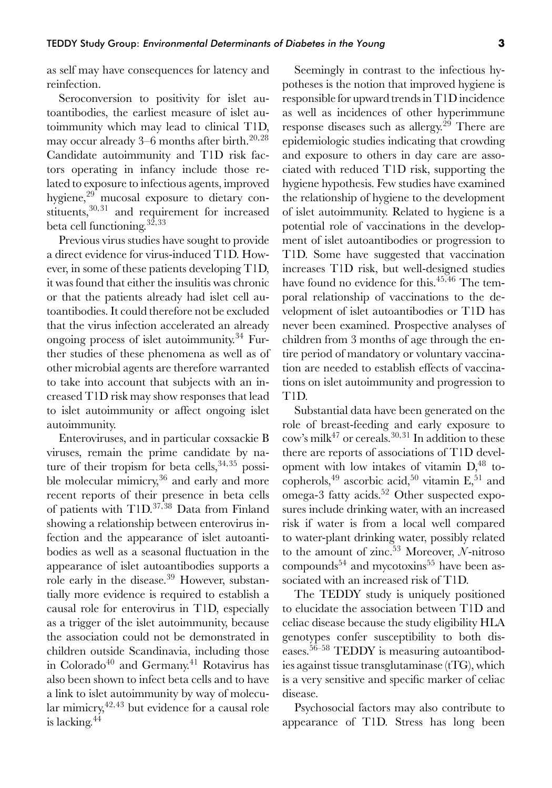as self may have consequences for latency and reinfection.

Seroconversion to positivity for islet autoantibodies, the earliest measure of islet autoimmunity which may lead to clinical T1D, may occur already 3–6 months after birth.20*,*<sup>28</sup> Candidate autoimmunity and T1D risk factors operating in infancy include those related to exposure to infectious agents, improved hygiene,<sup>29</sup> mucosal exposure to dietary constituents,<sup>30,31</sup> and requirement for increased beta cell functioning.32*,*<sup>33</sup>

Previous virus studies have sought to provide a direct evidence for virus-induced T1D. However, in some of these patients developing T1D, it was found that either the insulitis was chronic or that the patients already had islet cell autoantibodies. It could therefore not be excluded that the virus infection accelerated an already ongoing process of islet autoimmunity.34 Further studies of these phenomena as well as of other microbial agents are therefore warranted to take into account that subjects with an increased T1D risk may show responses that lead to islet autoimmunity or affect ongoing islet autoimmunity.

Enteroviruses, and in particular coxsackie B viruses, remain the prime candidate by nature of their tropism for beta cells,<sup>34,35</sup> possible molecular mimicry,<sup>36</sup> and early and more recent reports of their presence in beta cells of patients with T1D.37*,*<sup>38</sup> Data from Finland showing a relationship between enterovirus infection and the appearance of islet autoantibodies as well as a seasonal fluctuation in the appearance of islet autoantibodies supports a role early in the disease.<sup>39</sup> However, substantially more evidence is required to establish a causal role for enterovirus in T1D, especially as a trigger of the islet autoimmunity, because the association could not be demonstrated in children outside Scandinavia, including those in Colorado<sup>40</sup> and Germany.<sup>41</sup> Rotavirus has also been shown to infect beta cells and to have a link to islet autoimmunity by way of molecular mimicry,42*,*<sup>43</sup> but evidence for a causal role is lacking.<sup>44</sup>

Seemingly in contrast to the infectious hypotheses is the notion that improved hygiene is responsible for upward trends in T1D incidence as well as incidences of other hyperimmune response diseases such as allergy.<sup>29</sup> There are epidemiologic studies indicating that crowding and exposure to others in day care are associated with reduced T1D risk, supporting the hygiene hypothesis. Few studies have examined the relationship of hygiene to the development of islet autoimmunity. Related to hygiene is a potential role of vaccinations in the development of islet autoantibodies or progression to T1D. Some have suggested that vaccination increases T1D risk, but well-designed studies have found no evidence for this.45*,*<sup>46</sup> The temporal relationship of vaccinations to the development of islet autoantibodies or T1D has never been examined. Prospective analyses of children from 3 months of age through the entire period of mandatory or voluntary vaccination are needed to establish effects of vaccinations on islet autoimmunity and progression to T1D.

Substantial data have been generated on the role of breast-feeding and early exposure to cow's milk<sup>47</sup> or cereals.30*,*<sup>31</sup> In addition to these there are reports of associations of T1D development with low intakes of vitamin  $D<sub>1</sub><sup>48</sup>$  tocopherols,<sup>49</sup> ascorbic acid,<sup>50</sup> vitamin  $E$ ,<sup>51</sup> and  $\overline{\text{omega}}$ -3 fatty acids.<sup>52</sup> Other suspected exposures include drinking water, with an increased risk if water is from a local well compared to water-plant drinking water, possibly related to the amount of zinc.53 Moreover, *N*-nitroso compounds<sup>54</sup> and mycotoxins<sup>55</sup> have been associated with an increased risk of T1D.

The TEDDY study is uniquely positioned to elucidate the association between T1D and celiac disease because the study eligibility HLA genotypes confer susceptibility to both diseases.56–58 TEDDY is measuring autoantibodies against tissue transglutaminase (tTG), which is a very sensitive and specific marker of celiac disease.

Psychosocial factors may also contribute to appearance of T1D. Stress has long been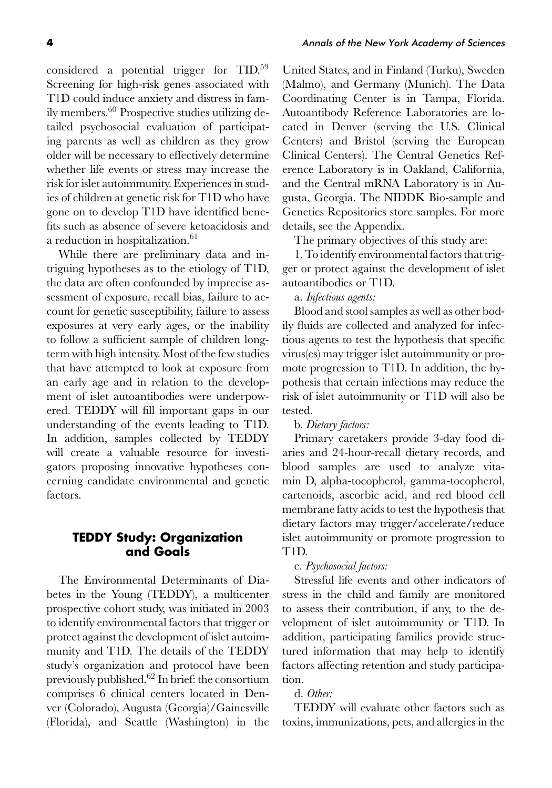considered a potential trigger for TID.<sup>59</sup> Screening for high-risk genes associated with T1D could induce anxiety and distress in family members.60 Prospective studies utilizing detailed psychosocial evaluation of participating parents as well as children as they grow older will be necessary to effectively determine whether life events or stress may increase the risk for islet autoimmunity. Experiences in studies of children at genetic risk for T1D who have gone on to develop T1D have identified benefits such as absence of severe ketoacidosis and a reduction in hospitalization.<sup>61</sup>

While there are preliminary data and intriguing hypotheses as to the etiology of T1D, the data are often confounded by imprecise assessment of exposure, recall bias, failure to account for genetic susceptibility, failure to assess exposures at very early ages, or the inability to follow a sufficient sample of children longterm with high intensity. Most of the few studies that have attempted to look at exposure from an early age and in relation to the development of islet autoantibodies were underpowered. TEDDY will fill important gaps in our understanding of the events leading to T1D. In addition, samples collected by TEDDY will create a valuable resource for investigators proposing innovative hypotheses concerning candidate environmental and genetic factors.

## **TEDDY Study: Organization and Goals**

The Environmental Determinants of Diabetes in the Young (TEDDY), a multicenter prospective cohort study, was initiated in 2003 to identify environmental factors that trigger or protect against the development of islet autoimmunity and T1D. The details of the TEDDY study's organization and protocol have been previously published.62 In brief: the consortium comprises 6 clinical centers located in Denver (Colorado), Augusta (Georgia)/Gainesville (Florida), and Seattle (Washington) in the United States, and in Finland (Turku), Sweden (Malmo), and Germany (Munich). The Data Coordinating Center is in Tampa, Florida. Autoantibody Reference Laboratories are located in Denver (serving the U.S. Clinical Centers) and Bristol (serving the European Clinical Centers). The Central Genetics Reference Laboratory is in Oakland, California, and the Central mRNA Laboratory is in Augusta, Georgia. The NIDDK Bio-sample and Genetics Repositories store samples. For more details, see the Appendix.

The primary objectives of this study are:

1. To identify environmental factors that trigger or protect against the development of islet autoantibodies or T1D.

a. *Infectious agents:*

Blood and stool samples as well as other bodily fluids are collected and analyzed for infectious agents to test the hypothesis that specific virus(es) may trigger islet autoimmunity or promote progression to T1D. In addition, the hypothesis that certain infections may reduce the risk of islet autoimmunity or T1D will also be tested.

#### b. *Dietary factors:*

Primary caretakers provide 3-day food diaries and 24-hour-recall dietary records, and blood samples are used to analyze vitamin D, alpha-tocopherol, gamma-tocopherol, cartenoids, ascorbic acid, and red blood cell membrane fatty acids to test the hypothesis that dietary factors may trigger/accelerate/reduce islet autoimmunity or promote progression to T1D.

#### c. *Psychosocial factors:*

Stressful life events and other indicators of stress in the child and family are monitored to assess their contribution, if any, to the development of islet autoimmunity or T1D. In addition, participating families provide structured information that may help to identify factors affecting retention and study participation.

## d. *Other:*

TEDDY will evaluate other factors such as toxins, immunizations, pets, and allergies in the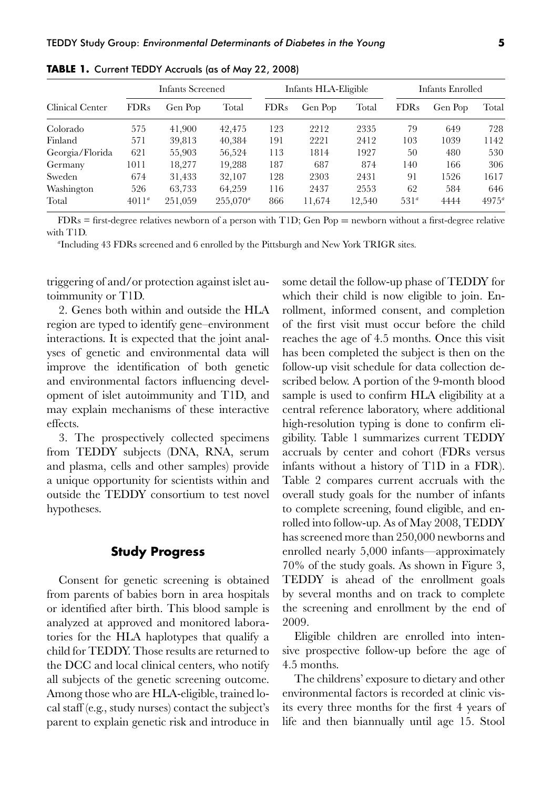|                 |             | Infants Screened |             |             | Infants HLA-Eligible |        | Infants Enrolled |         |                |  |
|-----------------|-------------|------------------|-------------|-------------|----------------------|--------|------------------|---------|----------------|--|
| Clinical Center | <b>FDRs</b> | Gen Pop          | Total       | <b>FDRs</b> | Gen Pop              | Total  | <b>FDRs</b>      | Gen Pop | Total          |  |
| Colorado        | 575         | 41,900           | 42,475      | 123         | 2212                 | 2335   | 79               | 649     | 728            |  |
| Finland         | 571         | 39,813           | 40,384      | 191         | 2221                 | 2412   | 103              | 1039    | 1142           |  |
| Georgia/Florida | 621         | 55,903           | 56,524      | 113         | 1814                 | 1927   | 50               | 480     | 530            |  |
| Germany         | 1011        | 18.277           | 19.288      | 187         | 687                  | 874    | 140              | 166     | 306            |  |
| Sweden          | 674         | 31,433           | 32,107      | 128         | 2303                 | 2431   | 91               | 1526    | 1617           |  |
| Washington      | 526         | 63,733           | 64,259      | 116         | 2437                 | 2553   | 62               | 584     | 646            |  |
| Total           | $4011^a$    | 251,059          | $255,070^a$ | 866         | 11,674               | 12,540 | 531 <sup>a</sup> | 4444    | $4975^{\circ}$ |  |

**TABLE 1.** Current TEDDY Accruals (as of May 22, 2008)

FDRs = first-degree relatives newborn of a person with T1D; Gen Pop = newborn without a first-degree relative with T1D.

*a* Including 43 FDRs screened and 6 enrolled by the Pittsburgh and New York TRIGR sites.

triggering of and/or protection against islet autoimmunity or T1D.

2. Genes both within and outside the HLA region are typed to identify gene–environment interactions. It is expected that the joint analyses of genetic and environmental data will improve the identification of both genetic and environmental factors influencing development of islet autoimmunity and T1D, and may explain mechanisms of these interactive effects.

3. The prospectively collected specimens from TEDDY subjects (DNA, RNA, serum and plasma, cells and other samples) provide a unique opportunity for scientists within and outside the TEDDY consortium to test novel hypotheses.

#### **Study Progress**

Consent for genetic screening is obtained from parents of babies born in area hospitals or identified after birth. This blood sample is analyzed at approved and monitored laboratories for the HLA haplotypes that qualify a child for TEDDY. Those results are returned to the DCC and local clinical centers, who notify all subjects of the genetic screening outcome. Among those who are HLA-eligible, trained local staff (e.g., study nurses) contact the subject's parent to explain genetic risk and introduce in some detail the follow-up phase of TEDDY for which their child is now eligible to join. Enrollment, informed consent, and completion of the first visit must occur before the child reaches the age of 4.5 months. Once this visit has been completed the subject is then on the follow-up visit schedule for data collection described below. A portion of the 9-month blood sample is used to confirm HLA eligibility at a central reference laboratory, where additional high-resolution typing is done to confirm eligibility. Table 1 summarizes current TEDDY accruals by center and cohort (FDRs versus infants without a history of T1D in a FDR). Table 2 compares current accruals with the overall study goals for the number of infants to complete screening, found eligible, and enrolled into follow-up. As of May 2008, TEDDY has screened more than 250,000 newborns and enrolled nearly 5,000 infants—approximately 70% of the study goals. As shown in Figure 3, TEDDY is ahead of the enrollment goals by several months and on track to complete the screening and enrollment by the end of 2009.

Eligible children are enrolled into intensive prospective follow-up before the age of 4.5 months.

The childrens' exposure to dietary and other environmental factors is recorded at clinic visits every three months for the first 4 years of life and then biannually until age 15. Stool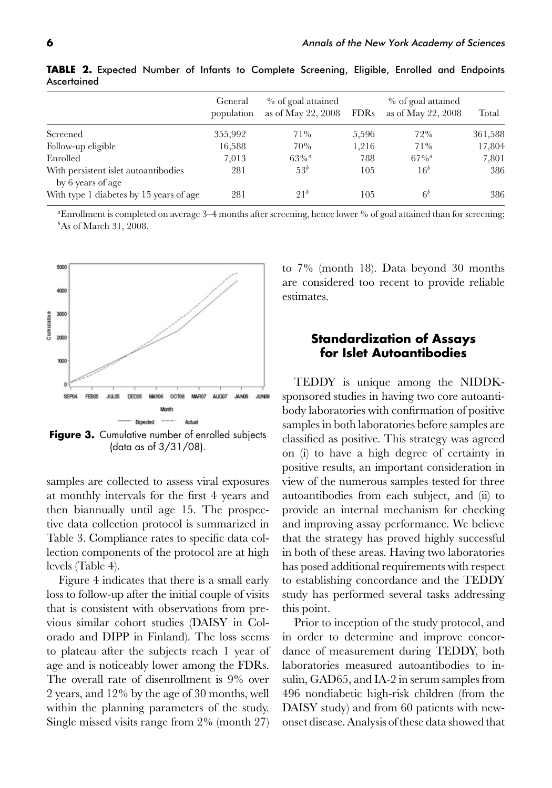|                                                           | General<br>population | % of goal attained<br>as of May 22, $2008$ | <b>FDRs</b> | % of goal attained<br>as of May 22, 2008 | Total   |
|-----------------------------------------------------------|-----------------------|--------------------------------------------|-------------|------------------------------------------|---------|
| Screened                                                  | 355,992               | 71%                                        | 5,596       | 72%                                      | 361,588 |
| Follow-up eligible                                        | 16,588                | 70%                                        | 1,216       | 71%                                      | 17,804  |
| Enrolled                                                  | 7,013                 | $63\%$ <sup>a</sup>                        | 788         | $67\%$ <sup>a</sup>                      | 7,801   |
| With persistent islet autoantibodies<br>by 6 years of age | 281                   | 53 <sup>b</sup>                            | 105         | 16 <sup>b</sup>                          | 386     |
| With type 1 diabetes by 15 years of age                   | 281                   | 21 <sup>b</sup>                            | 105         | 6 <sup>b</sup>                           | 386     |

**TABLE 2.** Expected Number of Infants to Complete Screening, Eligible, Enrolled and Endpoints Ascertained

*a* Enrollment is completed on average 3–4 months after screening, hence lower % of goal attained than for screening; *b* As of March 31, 2008.



Figure 3. Cumulative number of enrolled subjects (data as of 3/31/08).

samples are collected to assess viral exposures at monthly intervals for the first 4 years and then biannually until age 15. The prospective data collection protocol is summarized in Table 3. Compliance rates to specific data collection components of the protocol are at high levels (Table 4).

Figure 4 indicates that there is a small early loss to follow-up after the initial couple of visits that is consistent with observations from previous similar cohort studies (DAISY in Colorado and DIPP in Finland). The loss seems to plateau after the subjects reach 1 year of age and is noticeably lower among the FDRs. The overall rate of disenrollment is 9% over 2 years, and 12% by the age of 30 months, well within the planning parameters of the study. Single missed visits range from 2% (month 27) to 7% (month 18). Data beyond 30 months are considered too recent to provide reliable estimates.

## **Standardization of Assays for Islet Autoantibodies**

TEDDY is unique among the NIDDKsponsored studies in having two core autoantibody laboratories with confirmation of positive samples in both laboratories before samples are classified as positive. This strategy was agreed on (i) to have a high degree of certainty in positive results, an important consideration in view of the numerous samples tested for three autoantibodies from each subject, and (ii) to provide an internal mechanism for checking and improving assay performance. We believe that the strategy has proved highly successful in both of these areas. Having two laboratories has posed additional requirements with respect to establishing concordance and the TEDDY study has performed several tasks addressing this point.

Prior to inception of the study protocol, and in order to determine and improve concordance of measurement during TEDDY, both laboratories measured autoantibodies to insulin, GAD65, and IA-2 in serum samples from 496 nondiabetic high-risk children (from the DAISY study) and from 60 patients with newonset disease. Analysis of these data showed that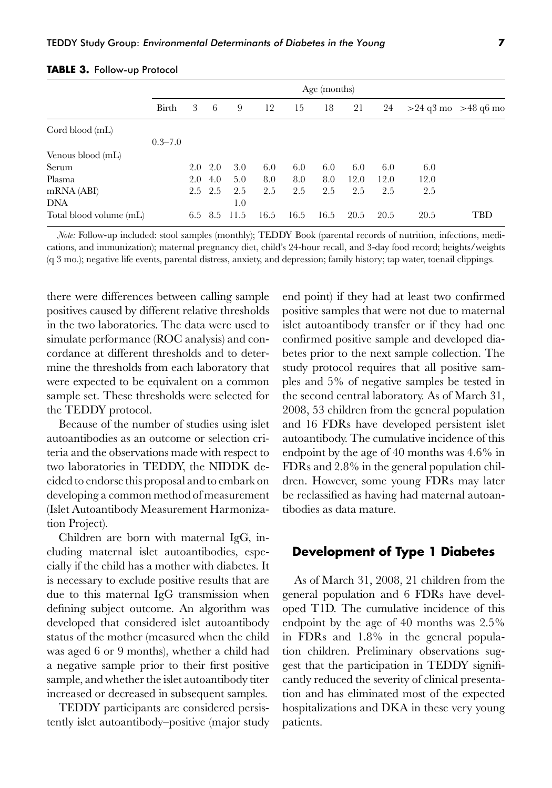|                         |             |     |               |      |      |      | Age (months) |      |      |                         |     |
|-------------------------|-------------|-----|---------------|------|------|------|--------------|------|------|-------------------------|-----|
|                         | Birth       | 3   | 6             | 9    | 12   | 15   | 18           | 21   | 24   | $>24$ q3 mo $>48$ q6 mo |     |
| Cord blood (mL)         |             |     |               |      |      |      |              |      |      |                         |     |
|                         | $0.3 - 7.0$ |     |               |      |      |      |              |      |      |                         |     |
| Venous blood (mL)       |             |     |               |      |      |      |              |      |      |                         |     |
| Serum                   |             |     | $2.0\quad2.0$ | 3.0  | 6.0  | 6.0  | 6.0          | 6.0  | 6.0  | 6.0                     |     |
| Plasma                  |             | 2.0 | 4.0           | 5.0  | 8.0  | 8.0  | 8.0          | 12.0 | 12.0 | 12.0                    |     |
| mRNA (ABI)              |             |     | $2.5$ $2.5$   | 2.5  | 2.5  | 2.5  | 2.5          | 2.5  | 2.5  | 2.5                     |     |
| DNA                     |             |     |               | 1.0  |      |      |              |      |      |                         |     |
| Total blood volume (mL) |             |     | 6.5 8.5       | 11.5 | 16.5 | 16.5 | 16.5         | 20.5 | 20.5 | 20.5                    | TBD |

**TABLE 3.** Follow-up Protocol

*Note:* Follow-up included: stool samples (monthly); TEDDY Book (parental records of nutrition, infections, medications, and immunization); maternal pregnancy diet, child's 24-hour recall, and 3-day food record; heights/weights (q 3 mo.); negative life events, parental distress, anxiety, and depression; family history; tap water, toenail clippings.

there were differences between calling sample positives caused by different relative thresholds in the two laboratories. The data were used to simulate performance (ROC analysis) and concordance at different thresholds and to determine the thresholds from each laboratory that were expected to be equivalent on a common sample set. These thresholds were selected for the TEDDY protocol.

Because of the number of studies using islet autoantibodies as an outcome or selection criteria and the observations made with respect to two laboratories in TEDDY, the NIDDK decided to endorse this proposal and to embark on developing a common method of measurement (Islet Autoantibody Measurement Harmonization Project).

Children are born with maternal IgG, including maternal islet autoantibodies, especially if the child has a mother with diabetes. It is necessary to exclude positive results that are due to this maternal IgG transmission when defining subject outcome. An algorithm was developed that considered islet autoantibody status of the mother (measured when the child was aged 6 or 9 months), whether a child had a negative sample prior to their first positive sample, and whether the islet autoantibody titer increased or decreased in subsequent samples.

TEDDY participants are considered persistently islet autoantibody–positive (major study end point) if they had at least two confirmed positive samples that were not due to maternal islet autoantibody transfer or if they had one confirmed positive sample and developed diabetes prior to the next sample collection. The study protocol requires that all positive samples and 5% of negative samples be tested in the second central laboratory. As of March 31, 2008, 53 children from the general population and 16 FDRs have developed persistent islet autoantibody. The cumulative incidence of this endpoint by the age of 40 months was 4.6% in FDRs and 2.8% in the general population children. However, some young FDRs may later be reclassified as having had maternal autoantibodies as data mature.

## **Development of Type 1 Diabetes**

As of March 31, 2008, 21 children from the general population and 6 FDRs have developed T1D. The cumulative incidence of this endpoint by the age of 40 months was 2.5% in FDRs and 1.8% in the general population children. Preliminary observations suggest that the participation in TEDDY significantly reduced the severity of clinical presentation and has eliminated most of the expected hospitalizations and DKA in these very young patients.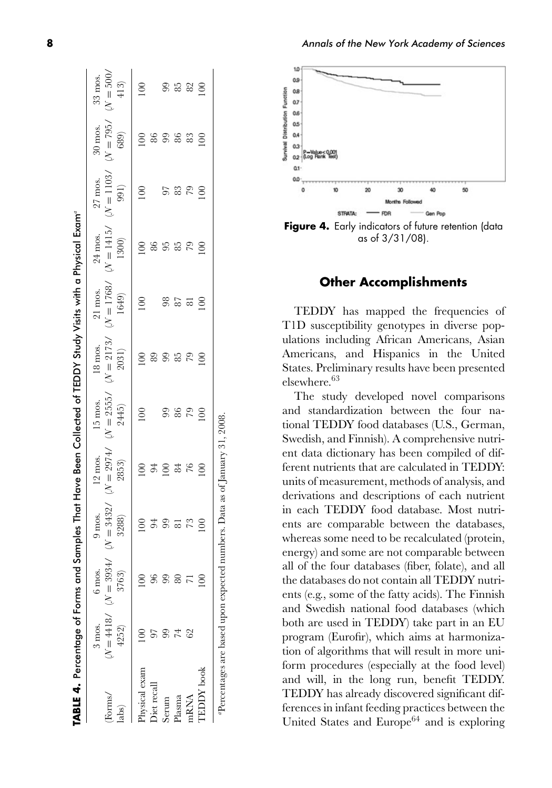|                  | TABLE 4. Percentage of Forms and Samples That Have Been Collected of TEDDY Study Visits with a Physical Exam <sup>e</sup> |                       |                      |                               |                      |                      |                     |         |                                                           |                     |                 |
|------------------|---------------------------------------------------------------------------------------------------------------------------|-----------------------|----------------------|-------------------------------|----------------------|----------------------|---------------------|---------|-----------------------------------------------------------|---------------------|-----------------|
|                  | 3 mos.                                                                                                                    | 6 mos.                | 9 mos.               | 12 mos.                       | 15 mos.              | 18 mos.              | 21 mos.             | 24 mos. | 27 mos.                                                   | 30 mos.             | 33 mos.         |
| Forms/           |                                                                                                                           | $N = 4418$ $N = 3934$ | $\mathcal{N}=3432$ / | $\mathcal{N}=2974\mathcal{N}$ | $\mathcal{N}=2555$ / | $\mathcal{N}=2173$ / | $\mathcal{N}=1768/$ |         | $\mathcal{N}=1415\text{/} \quad \mathcal{N}=1103\text{/}$ | $\mathcal{N}=795$ / | $(N = 500,$     |
| labs)            | 4252)                                                                                                                     | 3763)                 | 3288)                | 2853)                         | 2445                 | 2031)                | 1649)               | 1300)   | 991)                                                      | 689)                | $413)$          |
| hysical exam     |                                                                                                                           |                       |                      | $\overline{5}$                | 100                  | $\epsilon$           | 100                 | 100     | 100                                                       | $\rm{00}$           | $\epsilon$      |
| liet recal       |                                                                                                                           |                       | 54                   | 94                            |                      | 89                   |                     | 86      |                                                           | 86                  |                 |
| Serum            |                                                                                                                           |                       | 99                   | $\overline{\mathsf{S}}$       | 99                   | 99                   | 98                  | 55      | 57                                                        |                     | 99              |
| Plasma           |                                                                                                                           |                       | $\overline{\infty}$  | 84                            | 86                   | 85                   | 87                  | 85      | 83                                                        | 86                  | 85              |
| nRNA             | 62                                                                                                                        |                       |                      | 76                            | 79                   | 79                   | $\overline{\infty}$ | 79      | 79                                                        | 83                  | $\frac{82}{10}$ |
| <b>EDDY</b> book |                                                                                                                           |                       | 100                  | 100                           | $\overline{0}$       | $\epsilon$           |                     |         |                                                           |                     |                 |
|                  | "Percentages are based upon expected numbers. Data as of January 31, 2008.                                                |                       |                      |                               |                      |                      |                     |         |                                                           |                     |                 |



## **Other Accomplishments**

TEDDY has mapped the frequencies of T1D susceptibility genotypes in diverse populations including African Americans, Asian Americans, and Hispanics in the United States. Preliminary results have been presented elsewhere.<sup>63</sup>

The study developed novel comparisons and standardization between the four national TEDDY food databases (U.S., German, Swedish, and Finnish). A comprehensive nutrient data dictionary has been compiled of different nutrients that are calculated in TEDDY: units of measurement, methods of analysis, and derivations and descriptions of each nutrient in each TEDDY food database. Most nutrients are comparable between the databases, whereas some need to be recalculated (protein, energy) and some are not comparable between all of the four databases (fiber, folate), and all the databases do not contain all TEDDY nutrients (e.g., some of the fatty acids). The Finnish and Swedish national food databases (which both are used in TEDDY) take part in an EU program (Eurofir), which aims at harmonization of algorithms that will result in more uniform procedures (especially at the food level) and will, in the long run, benefit TEDDY. TEDDY has already discovered significant differences in infant feeding practices between the United States and Europe<sup>64</sup> and is exploring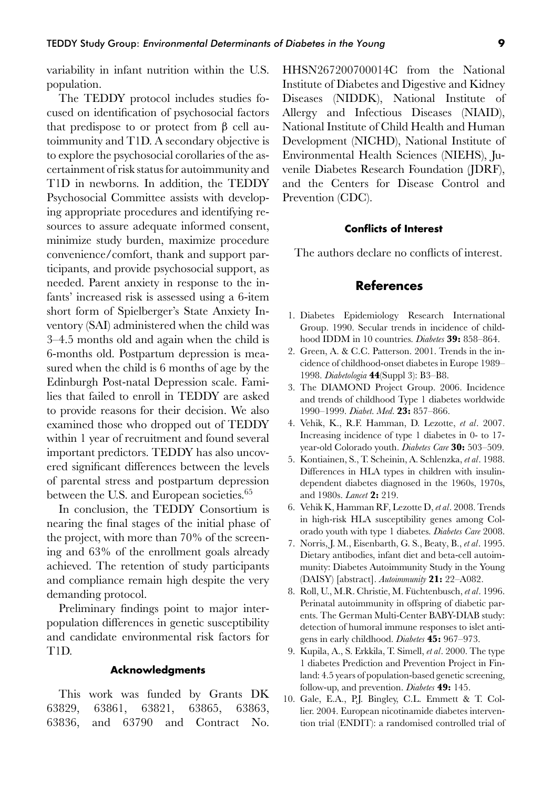variability in infant nutrition within the U.S. population.

The TEDDY protocol includes studies focused on identification of psychosocial factors that predispose to or protect from β cell autoimmunity and T1D. A secondary objective is to explore the psychosocial corollaries of the ascertainment of risk status for autoimmunity and T1D in newborns. In addition, the TEDDY Psychosocial Committee assists with developing appropriate procedures and identifying resources to assure adequate informed consent, minimize study burden, maximize procedure convenience/comfort, thank and support participants, and provide psychosocial support, as needed. Parent anxiety in response to the infants' increased risk is assessed using a 6-item short form of Spielberger's State Anxiety Inventory (SAI) administered when the child was 3–4.5 months old and again when the child is 6-months old. Postpartum depression is measured when the child is 6 months of age by the Edinburgh Post-natal Depression scale. Families that failed to enroll in TEDDY are asked to provide reasons for their decision. We also examined those who dropped out of TEDDY within 1 year of recruitment and found several important predictors. TEDDY has also uncovered significant differences between the levels of parental stress and postpartum depression between the U.S. and European societies.<sup>65</sup>

In conclusion, the TEDDY Consortium is nearing the final stages of the initial phase of the project, with more than 70% of the screening and 63% of the enrollment goals already achieved. The retention of study participants and compliance remain high despite the very demanding protocol.

Preliminary findings point to major interpopulation differences in genetic susceptibility and candidate environmental risk factors for T1D.

#### **Acknowledgments**

This work was funded by Grants DK 63829, 63861, 63821, 63865, 63863, 63836, and 63790 and Contract No. HHSN267200700014C from the National Institute of Diabetes and Digestive and Kidney Diseases (NIDDK), National Institute of Allergy and Infectious Diseases (NIAID), National Institute of Child Health and Human Development (NICHD), National Institute of Environmental Health Sciences (NIEHS), Juvenile Diabetes Research Foundation (JDRF), and the Centers for Disease Control and Prevention (CDC).

#### **Conflicts of Interest**

The authors declare no conflicts of interest.

#### **References**

- 1. Diabetes Epidemiology Research International Group. 1990. Secular trends in incidence of childhood IDDM in 10 countries. *Diabetes* **39:** 858–864.
- 2. Green, A. & C.C. Patterson. 2001. Trends in the incidence of childhood-onset diabetes in Europe 1989– 1998. *Diabetologia* **44**(Suppl 3): B3–B8.
- 3. The DIAMOND Project Group. 2006. Incidence and trends of childhood Type 1 diabetes worldwide 1990–1999. *Diabet. Med.* **23:** 857–866.
- 4. Vehik, K., R.F. Hamman, D. Lezotte, *et al*. 2007. Increasing incidence of type 1 diabetes in 0- to 17 year-old Colorado youth. *Diabetes Care* **30:** 503–509.
- 5. Kontiainen, S., T. Scheinin, A. Schlenzka, *et al*. 1988. Differences in HLA types in children with insulindependent diabetes diagnosed in the 1960s, 1970s, and 1980s. *Lancet* **2:** 219.
- 6. Vehik K, Hamman RF, Lezotte D, *et al*. 2008. Trends in high-risk HLA susceptibility genes among Colorado youth with type 1 diabetes. *Diabetes Care* 2008.
- 7. Norris, J. M., Eisenbarth, G. S., Beaty, B., *et al*. 1995. Dietary antibodies, infant diet and beta-cell autoimmunity: Diabetes Autoimmunity Study in the Young (DAISY) [abstract]. *Autoimmunity* **21:** 22–A082.
- 8. Roll, U., M.R. Christie, M. Füchtenbusch, et al. 1996. Perinatal autoimmunity in offspring of diabetic parents. The German Multi-Center BABY-DIAB study: detection of humoral immune responses to islet antigens in early childhood. *Diabetes* **45:** 967–973.
- 9. Kupila, A., S. Erkkila, T. Simell, *et al*. 2000. The type 1 diabetes Prediction and Prevention Project in Finland: 4.5 years of population-based genetic screening, follow-up, and prevention. *Diabetes* **49:** 145.
- 10. Gale, E.A., P.J. Bingley, C.L. Emmett & T. Collier. 2004. European nicotinamide diabetes intervention trial (ENDIT): a randomised controlled trial of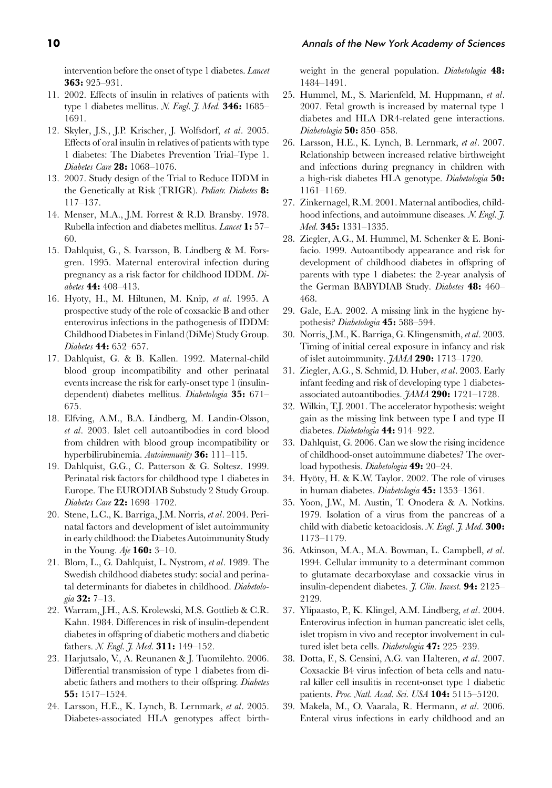intervention before the onset of type 1 diabetes. *Lancet* **363:** 925–931.

- 11. 2002. Effects of insulin in relatives of patients with type 1 diabetes mellitus. *N. Engl. J. Med.* **346:** 1685– 1691.
- 12. Skyler, J.S., J.P. Krischer, J. Wolfsdorf, *et al*. 2005. Effects of oral insulin in relatives of patients with type 1 diabetes: The Diabetes Prevention Trial–Type 1. *Diabetes Care* **28:** 1068–1076.
- 13. 2007. Study design of the Trial to Reduce IDDM in the Genetically at Risk (TRIGR). *Pediatr. Diabetes* **8:** 117–137.
- 14. Menser, M.A., J.M. Forrest & R.D. Bransby. 1978. Rubella infection and diabetes mellitus. *Lancet* **1:** 57– 60.
- 15. Dahlquist, G., S. Ivarsson, B. Lindberg & M. Forsgren. 1995. Maternal enteroviral infection during pregnancy as a risk factor for childhood IDDM. *Diabetes* **44:** 408–413.
- 16. Hyoty, H., M. Hiltunen, M. Knip, *et al*. 1995. A prospective study of the role of coxsackie B and other enterovirus infections in the pathogenesis of IDDM: Childhood Diabetes in Finland (DiMe) Study Group. *Diabetes* **44:** 652–657.
- 17. Dahlquist, G. & B. Kallen. 1992. Maternal-child blood group incompatibility and other perinatal events increase the risk for early-onset type 1 (insulindependent) diabetes mellitus. *Diabetologia* **35:** 671– 675.
- 18. Elfving, A.M., B.A. Lindberg, M. Landin-Olsson, *et al*. 2003. Islet cell autoantibodies in cord blood from children with blood group incompatibility or hyperbilirubinemia. *Autoimmunity* **36:** 111–115.
- 19. Dahlquist, G.G., C. Patterson & G. Soltesz. 1999. Perinatal risk factors for childhood type 1 diabetes in Europe. The EURODIAB Substudy 2 Study Group. *Diabetes Care* **22:** 1698–1702.
- 20. Stene, L.C., K. Barriga, J.M. Norris, *et al*. 2004. Perinatal factors and development of islet autoimmunity in early childhood: the Diabetes Autoimmunity Study in the Young. *Aje* **160:** 3–10.
- 21. Blom, L., G. Dahlquist, L. Nystrom, *et al*. 1989. The Swedish childhood diabetes study: social and perinatal determinants for diabetes in childhood. *Diabetologia* **32:** 7–13.
- 22. Warram, J.H., A.S. Krolewski, M.S. Gottlieb & C.R. Kahn. 1984. Differences in risk of insulin-dependent diabetes in offspring of diabetic mothers and diabetic fathers. *N. Engl. J. Med.* **311:** 149–152.
- 23. Harjutsalo, V., A. Reunanen & J. Tuomilehto. 2006. Differential transmission of type 1 diabetes from diabetic fathers and mothers to their offspring. *Diabetes* **55:** 1517–1524.
- 24. Larsson, H.E., K. Lynch, B. Lernmark, *et al*. 2005. Diabetes-associated HLA genotypes affect birth-

weight in the general population. *Diabetologia* **48:** 1484–1491.

- 25. Hummel, M., S. Marienfeld, M. Huppmann, *et al*. 2007. Fetal growth is increased by maternal type 1 diabetes and HLA DR4-related gene interactions. *Diabetologia* **50:** 850–858.
- 26. Larsson, H.E., K. Lynch, B. Lernmark, *et al*. 2007. Relationship between increased relative birthweight and infections during pregnancy in children with a high-risk diabetes HLA genotype. *Diabetologia* **50:** 1161–1169.
- 27. Zinkernagel, R.M. 2001. Maternal antibodies, childhood infections, and autoimmune diseases. *N. Engl. J. Med.* **345:** 1331–1335.
- 28. Ziegler, A.G., M. Hummel, M. Schenker & E. Bonifacio. 1999. Autoantibody appearance and risk for development of childhood diabetes in offspring of parents with type 1 diabetes: the 2-year analysis of the German BABYDIAB Study. *Diabetes* **48:** 460– 468.
- 29. Gale, E.A. 2002. A missing link in the hygiene hypothesis? *Diabetologia* **45:** 588–594.
- 30. Norris, J.M., K. Barriga, G. Klingensmith, *et al*. 2003. Timing of initial cereal exposure in infancy and risk of islet autoimmunity. *JAMA* **290:** 1713–1720.
- 31. Ziegler, A.G., S. Schmid, D. Huber, *et al*. 2003. Early infant feeding and risk of developing type 1 diabetesassociated autoantibodies. *JAMA* **290:** 1721–1728.
- 32. Wilkin, T.J. 2001. The accelerator hypothesis: weight gain as the missing link between type I and type II diabetes. *Diabetologia* **44:** 914–922.
- 33. Dahlquist, G. 2006. Can we slow the rising incidence of childhood-onset autoimmune diabetes? The overload hypothesis. *Diabetologia* **49:** 20–24.
- 34. Hyöty, H. & K.W. Taylor. 2002. The role of viruses in human diabetes. *Diabetologia* **45:** 1353–1361.
- 35. Yoon, J.W., M. Austin, T. Onodera & A. Notkins. 1979. Isolation of a virus from the pancreas of a child with diabetic ketoacidosis. *N. Engl. J. Med.* **300:** 1173–1179.
- 36. Atkinson, M.A., M.A. Bowman, L. Campbell, *et al*. 1994. Cellular immunity to a determinant common to glutamate decarboxylase and coxsackie virus in insulin-dependent diabetes. *J. Clin. Invest.* **94:** 2125– 2129.
- 37. Ylipaasto, P., K. Klingel, A.M. Lindberg, *et al*. 2004. Enterovirus infection in human pancreatic islet cells, islet tropism in vivo and receptor involvement in cultured islet beta cells. *Diabetologia* **47:** 225–239.
- 38. Dotta, F., S. Censini, A.G. van Halteren, *et al*. 2007. Coxsackie B4 virus infection of beta cells and natural killer cell insulitis in recent-onset type 1 diabetic patients. *Proc. Natl. Acad. Sci. USA* **104:** 5115–5120.
- 39. Makela, M., O. Vaarala, R. Hermann, *et al*. 2006. Enteral virus infections in early childhood and an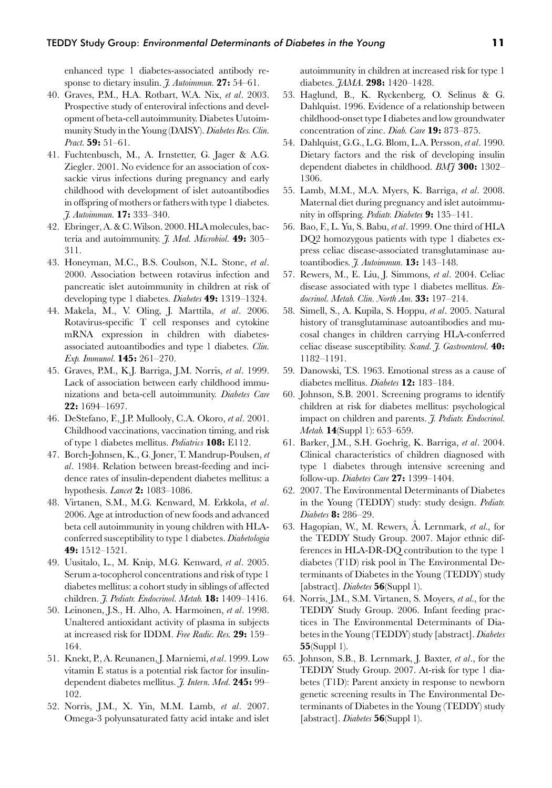enhanced type 1 diabetes-associated antibody response to dietary insulin. *J. Autoimmun.* **27:** 54–61.

- 40. Graves, P.M., H.A. Rotbart, W.A. Nix, *et al*. 2003. Prospective study of enteroviral infections and development of beta-cell autoimmunity. Diabetes Uutoimmunity Study in the Young (DAISY).*Diabetes Res. Clin. Pract.* **59:** 51–61.
- 41. Fuchtenbusch, M., A. Irnstetter, G. Jager & A.G. Ziegler. 2001. No evidence for an association of coxsackie virus infections during pregnancy and early childhood with development of islet autoantibodies in offspring of mothers or fathers with type 1 diabetes. *J. Autoimmun.* **17:** 333–340.
- 42. Ebringer, A. & C. Wilson. 2000. HLA molecules, bacteria and autoimmunity. *J. Med. Microbiol.* **49:** 305– 311.
- 43. Honeyman, M.C., B.S. Coulson, N.L. Stone, *et al*. 2000. Association between rotavirus infection and pancreatic islet autoimmunity in children at risk of developing type 1 diabetes. *Diabetes* **49:** 1319–1324.
- 44. Makela, M., V. Oling, J. Marttila, *et al*. 2006. Rotavirus-specific T cell responses and cytokine mRNA expression in children with diabetesassociated autoantibodies and type 1 diabetes. *Clin. Exp. Immunol.* **145:** 261–270.
- 45. Graves, P.M., K.J. Barriga, J.M. Norris, *et al*. 1999. Lack of association between early childhood immunizations and beta-cell autoimmunity. *Diabetes Care* **22:** 1694–1697.
- 46. DeStefano, F., J.P. Mullooly, C.A. Okoro, *et al*. 2001. Childhood vaccinations, vaccination timing, and risk of type 1 diabetes mellitus. *Pediatrics* **108:** E112.
- 47. Borch-Johnsen, K., G. Joner, T. Mandrup-Poulsen, *et al*. 1984. Relation between breast-feeding and incidence rates of insulin-dependent diabetes mellitus: a hypothesis. *Lancet* **2:** 1083–1086.
- 48. Virtanen, S.M., M.G. Kenward, M. Erkkola, *et al*. 2006. Age at introduction of new foods and advanced beta cell autoimmunity in young children with HLAconferred susceptibility to type 1 diabetes. *Diabetologia* **49:** 1512–1521.
- 49. Uusitalo, L., M. Knip, M.G. Kenward, *et al*. 2005. Serum a-tocopherol concentrations and risk of type 1 diabetes mellitus: a cohort study in siblings of affected children. *J. Pediatr. Endocrinol. Metab.* **18:** 1409–1416.
- 50. Leinonen, J.S., H. Alho, A. Harmoinen, *et al*. 1998. Unaltered antioxidant activity of plasma in subjects at increased risk for IDDM. *Free Radic. Res.* **29:** 159– 164.
- 51. Knekt, P., A. Reunanen, J. Marniemi, *et al*. 1999. Low vitamin E status is a potential risk factor for insulindependent diabetes mellitus. *J. Intern. Med.* **245:** 99– 102.
- 52. Norris, J.M., X. Yin, M.M. Lamb, *et al*. 2007. Omega-3 polyunsaturated fatty acid intake and islet

autoimmunity in children at increased risk for type 1 diabetes. *JAMA*. **298:** 1420–1428.

- 53. Haglund, B., K. Ryckenberg, O. Selinus & G. Dahlquist. 1996. Evidence of a relationship between childhood-onset type I diabetes and low groundwater concentration of zinc. *Diab. Care* **19:** 873–875.
- 54. Dahlquist, G.G., L.G. Blom, L.A. Persson, *et al*. 1990. Dietary factors and the risk of developing insulin dependent diabetes in childhood. *BMJ* **300:** 1302– 1306.
- 55. Lamb, M.M., M.A. Myers, K. Barriga, *et al*. 2008. Maternal diet during pregnancy and islet autoimmunity in offspring. *Pediatr. Diabetes* **9:** 135–141.
- 56. Bao, F., L. Yu, S. Babu, *et al*. 1999. One third of HLA DQ2 homozygous patients with type 1 diabetes express celiac disease-associated transglutaminase autoantibodies. *J. Autoimmun.* **13:** 143–148.
- 57. Rewers, M., E. Liu, J. Simmons, *et al*. 2004. Celiac disease associated with type 1 diabetes mellitus. *Endocrinol. Metab. Clin. North Am.* **33:** 197–214.
- 58. Simell, S., A. Kupila, S. Hoppu, *et al*. 2005. Natural history of transglutaminase autoantibodies and mucosal changes in children carrying HLA-conferred celiac disease susceptibility. *Scand. J. Gastroenterol.* **40:** 1182–1191.
- 59. Danowski, T.S. 1963. Emotional stress as a cause of diabetes mellitus. *Diabetes* **12:** 183–184.
- 60. Johnson, S.B. 2001. Screening programs to identify children at risk for diabetes mellitus: psychological impact on children and parents. *J. Pediatr. Endocrinol. Metab.* **14**(Suppl 1): 653–659.
- 61. Barker, J.M., S.H. Goehrig, K. Barriga, *et al*. 2004. Clinical characteristics of children diagnosed with type 1 diabetes through intensive screening and follow-up. *Diabetes Care* **27:** 1399–1404.
- 62. 2007. The Environmental Determinants of Diabetes in the Young (TEDDY) study: study design. *Pediatr. Diabetes* **8:** 286–29.
- 63. Hagopian, W., M. Rewers, A. Lernmark, *et al.*, for the TEDDY Study Group. 2007. Major ethnic differences in HLA-DR-DQ contribution to the type 1 diabetes (T1D) risk pool in The Environmental Determinants of Diabetes in the Young (TEDDY) study [abstract]. *Diabetes* **56**(Suppl 1).
- 64. Norris, J.M., S.M. Virtanen, S. Moyers, *et al.*, for the TEDDY Study Group. 2006. Infant feeding practices in The Environmental Determinants of Diabetes in the Young (TEDDY) study [abstract].*Diabetes* **55**(Suppl 1).
- 65. Johnson, S.B., B. Lernmark, J. Baxter, *et al*., for the TEDDY Study Group. 2007. At-risk for type 1 diabetes (T1D): Parent anxiety in response to newborn genetic screening results in The Environmental Determinants of Diabetes in the Young (TEDDY) study [abstract]. *Diabetes* **56**(Suppl 1).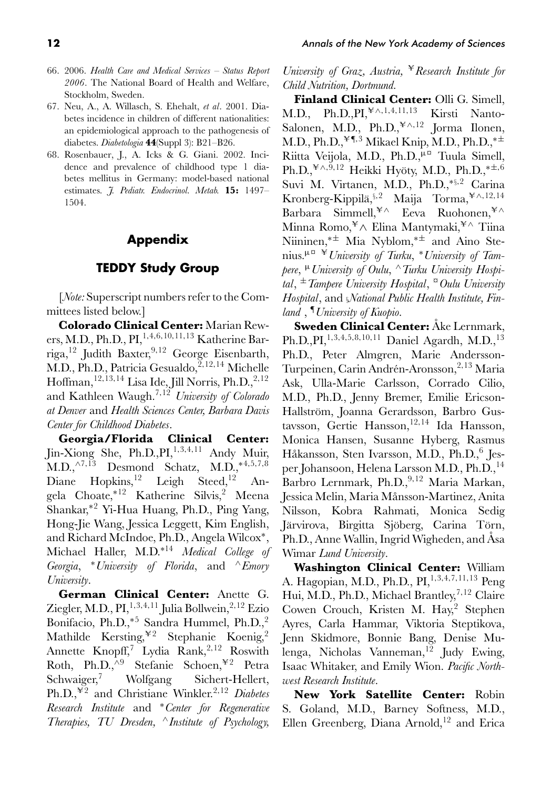- 66. 2006. *Health Care and Medical Services Status Report 2006*. The National Board of Health and Welfare, Stockholm, Sweden.
- 67. Neu, A., A. Willasch, S. Ehehalt, *et al*. 2001. Diabetes incidence in children of different nationalities: an epidemiological approach to the pathogenesis of diabetes. *Diabetologia* **44**(Suppl 3): B21–B26.
- 68. Rosenbauer, J., A. Icks & G. Giani. 2002. Incidence and prevalence of childhood type 1 diabetes mellitus in Germany: model-based national estimates. *J. Pediatr. Endocrinol. Metab.* **15:** 1497– 1504.

## **Appendix**

## **TEDDY Study Group**

[*Note:* Superscript numbers refer to the Committees listed below.]

**Colorado Clinical Center:** Marian Rewers, M.D., Ph.D., PI,1*,*4*,*6*,*10*,*11*,*<sup>13</sup> Katherine Barriga,12 Judith Baxter,9*,*<sup>12</sup> George Eisenbarth, M.D., Ph.D., Patricia Gesualdo,<sup>2,12,14</sup> Michelle Hoffman,<sup>12,13,14</sup> Lisa Ide, Jill Norris, Ph.D.,<sup>2,12</sup> and Kathleen Waugh.7*,*<sup>12</sup> *University of Colorado at Denver* and *Health Sciences Center, Barbara Davis Center for Childhood Diabetes*.

**Georgia/Florida Clinical Center:** Jin-Xiong She, Ph.D., PI, <sup>1, 3, 4, 11</sup> Andy Muir, M.D.,∧7*,*<sup>13</sup> Desmond Schatz, M.D.,∗4*,*5*,*7*,*<sup>8</sup> Diane Hopkins,<sup>12</sup> Leigh Steed,<sup>12</sup> Angela Choate,∗<sup>12</sup> Katherine Silvis,<sup>2</sup> Meena Shankar,∗<sup>2</sup> Yi-Hua Huang, Ph.D., Ping Yang, Hong-Jie Wang, Jessica Leggett, Kim English, and Richard McIndoe, Ph.D., Angela Wilcox∗, Michael Haller, M.D.∗<sup>14</sup> *Medical College of Georgia*, <sup>∗</sup>*University of Florida*, and <sup>∧</sup>*Emory University*.

**German Clinical Center:** Anette G. Ziegler, M.D., PI,1*,*3*,*4*,*<sup>11</sup> Julia Bollwein,2*,*<sup>12</sup> Ezio Bonifacio, Ph.D.,<sup>∗5</sup> Sandra Hummel, Ph.D.,<sup>2</sup> Mathilde Kersting, ${}^{\not\!\!+2}$  Stephanie Koenig,<sup>2</sup> Annette Knopff,7 Lydia Rank,<sup>2</sup>*,*<sup>12</sup> Roswith Roth, Ph.D.,^<sup>9</sup> Stefanie Schoen,<sup>¥2</sup> Petra Schwaiger,<sup>7</sup> Wolfgang Sichert-Hellert, Ph.D.,-<sup>2</sup> and Christiane Winkler.<sup>2</sup>*,*<sup>12</sup> *Diabetes Research Institute* and <sup>∗</sup>*Center for Regenerative Therapies, TU Dresden,* <sup>∧</sup>*Institute of Psychology,* *University of Graz, Austria,* <sup>¥</sup> Research Institute for *Child Nutrition, Dortmund.*

**Finland Clinical Center:** Olli G. Simell, M.D.,  $Ph.D., PI, \nexists^{4} \wedge 1, 4, 11, 13$ <sup>∧</sup>*,*1*,*4*,*11*,*<sup>13</sup> Kirsti Nanto-Salonen, M.D., Ph.D.,<sup>¥^,12</sup> Jorma Ilonen, M.D., Ph.D.,<sup>¥¶,3</sup> Mikael Knip, M.D., Ph.D.,<sup>∗±</sup> Riitta Veijola, M.D., Ph.D.,<sup>μα</sup> Tuula Simell, Ph.D.,<sup>¥∧,9,12</sup> Heikki Hyöty, M.D., Ph.D.,<sup>∗±,6</sup> Suvi M. Virtanen, M.D., Ph.D.,<sup>∗</sup>§*,*<sup>2</sup> Carina Kronberg-Kippilä,<sup>§,2</sup> Maija Torma,<sup>¥∧,12,14</sup> Barbara Simmell,<sup>¥∧</sup> Eeva Ruohonen,<sup>¥∧</sup> Minna Romo,<sup>¥</sup>∧ Elina Mantymaki,<sup>¥∧</sup> Tiina Niininen,∗± Mia Nyblom,∗± and Aino Stenius.<sup>μ</sup>¤ -*University of Turku*, <sup>∗</sup>*University of Tampere*, <sup>μ</sup>*University of Oulu*, <sup>∧</sup>*Turku University Hospital*, <sup>±</sup>*Tampere University Hospital*, ¤*Oulu University Hospital*, and §*National Public Health Institute, Finland* , ¶*University of Kuopio*.

**Sweden Clinical Center:** Åke Lernmark, Ph.D.,PI,1*,*3*,*4*,*5*,*8*,*10*,*<sup>11</sup> Daniel Agardh, M.D.,<sup>13</sup> Ph.D., Peter Almgren, Marie Andersson-Turpeinen, Carin Andrén-Aronsson, <sup>2,13</sup> Maria Ask, Ulla-Marie Carlsson, Corrado Cilio, M.D., Ph.D., Jenny Bremer, Emilie Ericson-Hallström, Joanna Gerardsson, Barbro Gustavsson, Gertie Hansson,<sup>12,14</sup> Ida Hansson, Monica Hansen, Susanne Hyberg, Rasmus Håkansson, Sten Ivarsson, M.D., Ph.D., <sup>6</sup> Jesper Johansoon, Helena Larsson M.D., Ph.D., <sup>14</sup> Barbro Lernmark, Ph.D.,<sup>9,12</sup> Maria Markan, Jessica Melin, Maria Månsson-Martinez, Anita Nilsson, Kobra Rahmati, Monica Sedig Järvirova, Birgitta Sjöberg, Carina Törn, Ph.D., Anne Wallin, Ingrid Wigheden, and Asa Wimar *Lund University*.

**Washington Clinical Center:** William A. Hagopian, M.D., Ph.D., PI,1*,*3*,*4*,*7*,*11*,*<sup>13</sup> Peng Hui, M.D., Ph.D., Michael Brantley,<sup>7</sup>*,*<sup>12</sup> Claire Cowen Crouch, Kristen M. Hay,<sup>2</sup> Stephen Ayres, Carla Hammar, Viktoria Steptikova, Jenn Skidmore, Bonnie Bang, Denise Mulenga, Nicholas Vanneman,<sup>12</sup> Judy Ewing, Isaac Whitaker, and Emily Wion. *Pacific Northwest Research Institute*.

**New York Satellite Center:** Robin S. Goland, M.D., Barney Softness, M.D., Ellen Greenberg, Diana Arnold,<sup>12</sup> and Erica